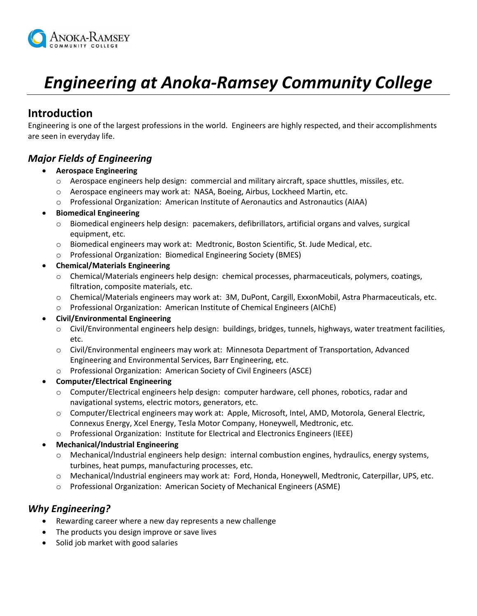

# *Engineering at Anoka-Ramsey Community College*

## **Introduction**

Engineering is one of the largest professions in the world. Engineers are highly respected, and their accomplishments are seen in everyday life.

## *Major Fields of Engineering*

- **Aerospace Engineering**
	- $\circ$  Aerospace engineers help design: commercial and military aircraft, space shuttles, missiles, etc.
	- o Aerospace engineers may work at: NASA, Boeing, Airbus, Lockheed Martin, etc.
	- o Professional Organization: American Institute of Aeronautics and Astronautics (AIAA)

#### **Biomedical Engineering**

- o Biomedical engineers help design: pacemakers, defibrillators, artificial organs and valves, surgical equipment, etc.
- o Biomedical engineers may work at: Medtronic, Boston Scientific, St. Jude Medical, etc.
- o Professional Organization: Biomedical Engineering Society (BMES)

#### **Chemical/Materials Engineering**

- o Chemical/Materials engineers help design: chemical processes, pharmaceuticals, polymers, coatings, filtration, composite materials, etc.
- o Chemical/Materials engineers may work at: 3M, DuPont, Cargill, ExxonMobil, Astra Pharmaceuticals, etc.
- o Professional Organization: American Institute of Chemical Engineers (AIChE)

#### **Civil/Environmental Engineering**

- o Civil/Environmental engineers help design: buildings, bridges, tunnels, highways, water treatment facilities, etc.
- o Civil/Environmental engineers may work at: Minnesota Department of Transportation, Advanced Engineering and Environmental Services, Barr Engineering, etc.
- o Professional Organization: American Society of Civil Engineers (ASCE)

#### **Computer/Electrical Engineering**

- o Computer/Electrical engineers help design: computer hardware, cell phones, robotics, radar and navigational systems, electric motors, generators, etc.
- o Computer/Electrical engineers may work at: Apple, Microsoft, Intel, AMD, Motorola, General Electric, Connexus Energy, Xcel Energy, Tesla Motor Company, Honeywell, Medtronic, etc.
- o Professional Organization: Institute for Electrical and Electronics Engineers (IEEE)
- **Mechanical/Industrial Engineering**
	- $\circ$  Mechanical/Industrial engineers help design: internal combustion engines, hydraulics, energy systems, turbines, heat pumps, manufacturing processes, etc.
	- o Mechanical/Industrial engineers may work at: Ford, Honda, Honeywell, Medtronic, Caterpillar, UPS, etc.
	- o Professional Organization: American Society of Mechanical Engineers (ASME)

## *Why Engineering?*

- Rewarding career where a new day represents a new challenge
- The products you design improve or save lives
- Solid job market with good salaries